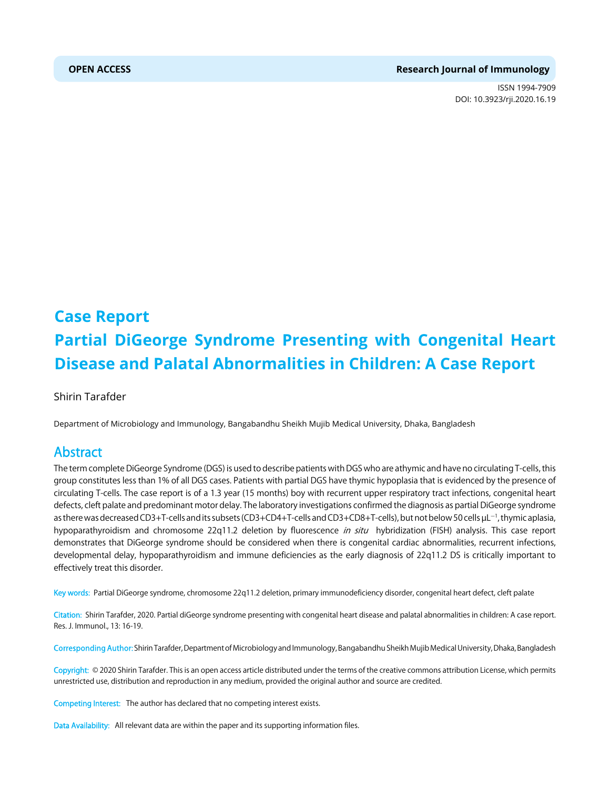#### **OPEN ACCESS Research Journal of Immunology**

ISSN 1994-7909 DOI: 10.3923/rji.2020.16.19



# **Case Report Partial DiGeorge Syndrome Presenting with Congenital Heart Disease and Palatal Abnormalities in Children: A Case Report**

Shirin Tarafder

Department of Microbiology and Immunology, Bangabandhu Sheikh Mujib Medical University, Dhaka, Bangladesh

# Abstract

The term complete DiGeorge Syndrome (DGS) is used to describe patients with DGS who are athymic and have no circulating T-cells, this group constitutes less than 1% of all DGS cases. Patients with partial DGS have thymic hypoplasia that is evidenced by the presence of circulating T-cells. The case report is of a 1.3 year (15 months) boy with recurrent upper respiratory tract infections, congenital heart defects, cleft palate and predominant motor delay. The laboratory investigations confirmed the diagnosis as partial DiGeorge syndrome as there was decreased CD3+T-cells and its subsets (CD3+CD4+T-cells and CD3+CD8+T-cells), but not below 50 cells µL<sup>-1</sup>, thymic aplasia, hypoparathyroidism and chromosome 22q11.2 deletion by fluorescence in situ hybridization (FISH) analysis. This case report demonstrates that DiGeorge syndrome should be considered when there is congenital cardiac abnormalities, recurrent infections, developmental delay, hypoparathyroidism and immune deficiencies as the early diagnosis of 22q11.2 DS is critically important to effectively treat this disorder.

Key words: Partial DiGeorge syndrome, chromosome 22q11.2 deletion, primary immunodeficiency disorder, congenital heart defect, cleft palate

Citation: Shirin Tarafder, 2020. Partial diGeorge syndrome presenting with congenital heart disease and palatal abnormalities in children: A case report. Res. J. Immunol., 13: 16-19.

Corresponding Author: Shirin Tarafder, Department of Microbiology and Immunology, Bangabandhu Sheikh Mujib Medical University, Dhaka, Bangladesh

Copyright: © 2020 Shirin Tarafder. This is an open access article distributed under the terms of the creative commons attribution License, which permits unrestricted use, distribution and reproduction in any medium, provided the original author and source are credited.

Competing Interest: The author has declared that no competing interest exists.

Data Availability: All relevant data are within the paper and its supporting information files.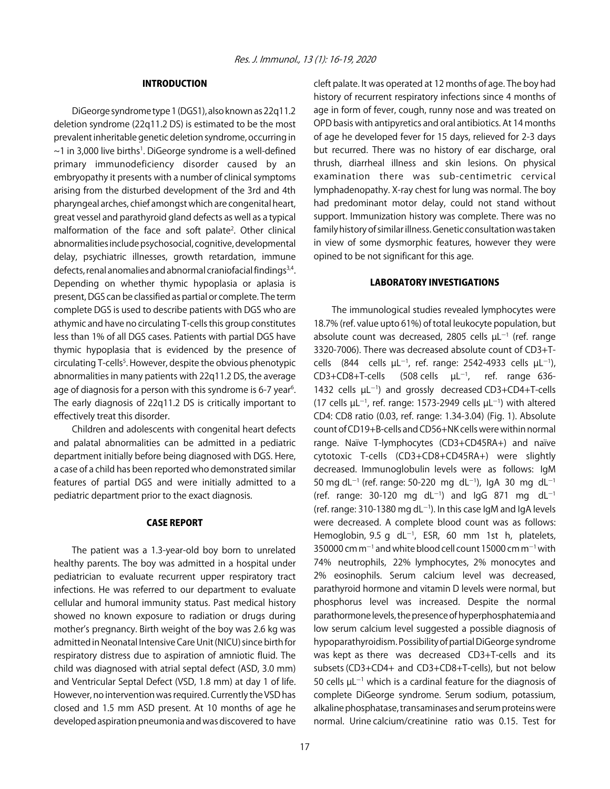### INTRODUCTION

DiGeorge syndrome type 1 (DGS1), also known as 22q11.2 deletion syndrome (22q11.2 DS) is estimated to be the most prevalent inheritable genetic deletion syndrome, occurring in  $\sim$ 1 in 3,000 live births<sup>1</sup>. DiGeorge syndrome is a well-defined primary immunodeficiency disorder caused by an embryopathy it presents with a number of clinical symptoms arising from the disturbed development of the 3rd and 4th pharyngeal arches, chief amongst which are congenital heart, great vessel and parathyroid gland defects as well as a typical malformation of the face and soft palate<sup>2</sup>. Other clinical abnormalities include psychosocial, cognitive, developmental delay, psychiatric illnesses, growth retardation, immune defects, renal anomalies and abnormal craniofacial findings<sup>3,4</sup>. Depending on whether thymic hypoplasia or aplasia is present, DGS can be classified as partial or complete. The term complete DGS is used to describe patients with DGS who are athymic and have no circulating T-cells this group constitutes less than 1% of all DGS cases. Patients with partial DGS have thymic hypoplasia that is evidenced by the presence of circulating T-cells<sup>5</sup>. However, despite the obvious phenotypic abnormalities in many patients with 22q11.2 DS, the average age of diagnosis for a person with this syndrome is 6-7 year<sup>6</sup>. The early diagnosis of 22q11.2 DS is critically important to effectively treat this disorder.

Children and adolescents with congenital heart defects and palatal abnormalities can be admitted in a pediatric department initially before being diagnosed with DGS. Here, a case of a child has been reported who demonstrated similar features of partial DGS and were initially admitted to a pediatric department prior to the exact diagnosis.

### CASE REPORT

The patient was a 1.3-year-old boy born to unrelated healthy parents. The boy was admitted in a hospital under pediatrician to evaluate recurrent upper respiratory tract infections. He was referred to our department to evaluate cellular and humoral immunity status. Past medical history showed no known exposure to radiation or drugs during mother's pregnancy. Birth weight of the boy was 2.6 kg was admitted in Neonatal Intensive Care Unit (NICU) since birth for respiratory distress due to aspiration of amniotic fluid. The child was diagnosed with atrial septal defect (ASD, 3.0 mm) and Ventricular Septal Defect (VSD, 1.8 mm) at day 1 of life. However, no intervention was required. Currently the VSD has closed and 1.5 mm ASD present. At 10 months of age he developed aspiration pneumonia and was discovered to have

cleft palate. It was operated at 12 months of age. The boy had history of recurrent respiratory infections since 4 months of age in form of fever, cough, runny nose and was treated on OPD basis with antipyretics and oral antibiotics. At 14 months of age he developed fever for 15 days, relieved for 2-3 days but recurred. There was no history of ear discharge, oral thrush, diarrheal illness and skin lesions. On physical examination there was sub-centimetric cervical lymphadenopathy. X-ray chest for lung was normal. The boy had predominant motor delay, could not stand without support. Immunization history was complete. There was no family history of similar illness. Genetic consultation was taken in view of some dysmorphic features, however they were opined to be not significant for this age.

### LABORATORY INVESTIGATIONS

The immunological studies revealed lymphocytes were 18.7% (ref. value upto 61%) of total leukocyte population, but absolute count was decreased, 2805 cells  $\mu$ L $^{-1}$  (ref. range 3320-7006). There was decreased absolute count of CD3+Tcells (844 cells  $\mu$ L<sup>-1</sup>, ref. range: 2542-4933 cells  $\mu$ L<sup>-1</sup>), CD3+CD8+T-cells  $(508 \text{ cells } \mu L^{-1}$ , ref. range 636-1432 cells  $\mu L^{-1}$ ) and grossly decreased CD3+CD4+T-cells (17 cells  $\mu L^{-1}$ , ref. range: 1573-2949 cells  $\mu L^{-1}$ ) with altered CD4: CD8 ratio (0.03, ref. range: 1.34-3.04) (Fig. 1). Absolute count of CD19+B-cells and CD56+NK cells were within normal range. Naïve T-lymphocytes (CD3+CD45RA+) and naïve cytotoxic T-cells (CD3+CD8+CD45RA+) were slightly decreased. Immunoglobulin levels were as follows: IgM 50 mg dL<sup>-1</sup> (ref. range: 50-220 mg dL<sup>-1</sup>), IgA 30 mg dL<sup>-1</sup> (ref. range: 30-120 mg dL<sup>-1</sup>) and IgG 871 mg dL<sup>-1</sup> (ref. range: 310-1380 mg dL $^{-1}$ ). In this case IgM and IgA levels were decreased. A complete blood count was as follows: Hemoglobin, 9.5 g  $dL^{-1}$ , ESR, 60 mm 1st h, platelets, 350000 cm m $^{-1}$  and white blood cell count 15000 cm m $^{-1}$  with 74% neutrophils, 22% lymphocytes, 2% monocytes and 2% eosinophils. Serum calcium level was decreased, parathyroid hormone and vitamin D levels were normal, but phosphorus level was increased. Despite the normal parathormone levels, the presence of hyperphosphatemia and low serum calcium level suggested a possible diagnosis of hypoparathyroidism. Possibility of partial DiGeorge syndrome was kept as there was decreased CD3+T-cells and its subsets (CD3+CD4+ and CD3+CD8+T-cells), but not below 50 cells  $\mu$ L<sup>-1</sup> which is a cardinal feature for the diagnosis of complete DiGeorge syndrome. Serum sodium, potassium, alkaline phosphatase, transaminases and serum proteins were normal. Urine calcium/creatinine ratio was 0.15. Test for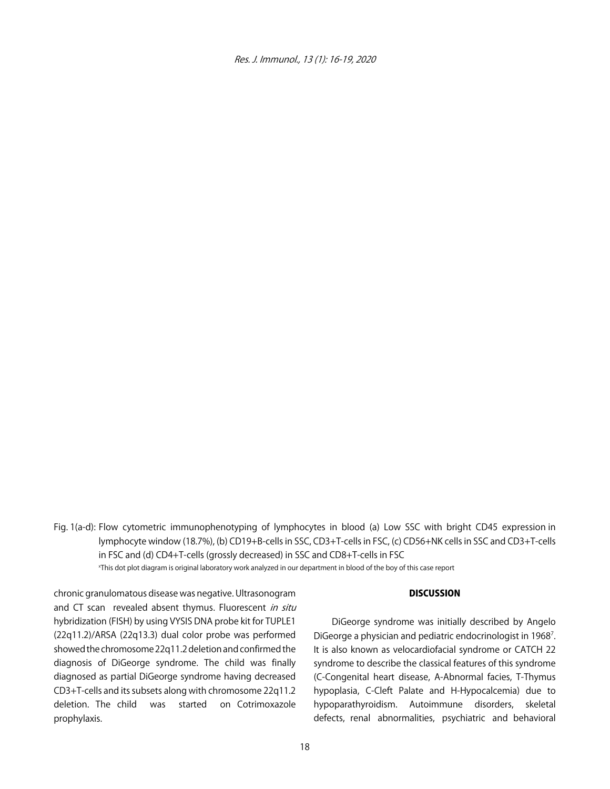

Fig. 1(a-d): Flow cytometric immunophenotyping of lymphocytes in blood (a) Low SSC with bright CD45 expression in lymphocyte window (18.7%), (b) CD19+B-cells in SSC, CD3+T-cells in FSC, (c) CD56+NK cells in SSC and CD3+T-cells in FSC and (d) CD4+T-cells (grossly decreased) in SSC and CD8+T-cells in FSC

x This dot plot diagram is original laboratory work analyzed in our department in blood of the boy of this case report

## chronic granulomatous disease was negative. Ultrasonogram and CT scan revealed absent thymus. Fluorescent in situ hybridization (FISH) by using VYSIS DNA probe kit for TUPLE1 (22q11.2)/ARSA (22q13.3) dual color probe was performed showed the chromosome 22q11.2 deletion and confirmed the diagnosis of DiGeorge syndrome. The child was finally diagnosed as partial DiGeorge syndrome having decreased CD3+T-cells and its subsets along with chromosome 22q11.2 deletion. The child was started on Cotrimoxazole prophylaxis.

#### **DISCUSSION**

DiGeorge syndrome was initially described by Angelo DiGeorge a physician and pediatric endocrinologist in 1968<sup>7</sup>. It is also known as velocardiofacial syndrome or CATCH 22 syndrome to describe the classical features of this syndrome (C-Congenital heart disease, A-Abnormal facies, T-Thymus hypoplasia, C-Cleft Palate and H-Hypocalcemia) due to hypoparathyroidism. Autoimmune disorders, skeletal defects, renal abnormalities, psychiatric and behavioral